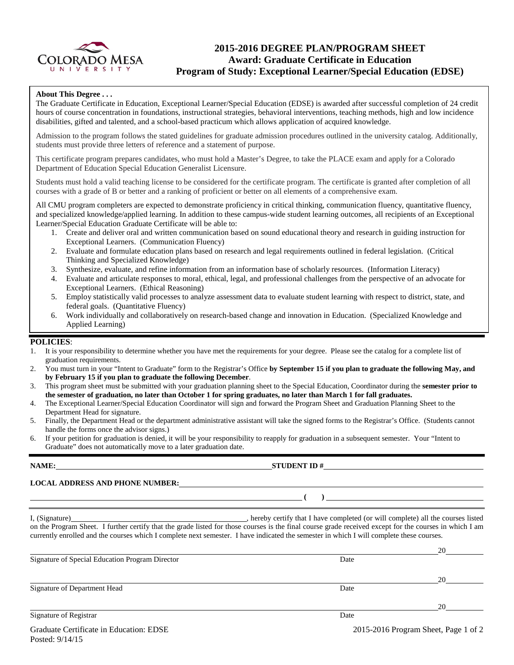

## **2015-2016 DEGREE PLAN/PROGRAM SHEET Award: Graduate Certificate in Education Program of Study: Exceptional Learner/Special Education (EDSE)**

### **About This Degree . . .**

The Graduate Certificate in Education, Exceptional Learner/Special Education (EDSE) is awarded after successful completion of 24 credit hours of course concentration in foundations, instructional strategies, behavioral interventions, teaching methods, high and low incidence disabilities, gifted and talented, and a school-based practicum which allows application of acquired knowledge.

Admission to the program follows the stated guidelines for graduate admission procedures outlined in the university catalog. Additionally, students must provide three letters of reference and a statement of purpose.

This certificate program prepares candidates, who must hold a Master's Degree, to take the PLACE exam and apply for a Colorado Department of Education Special Education Generalist Licensure.

Students must hold a valid teaching license to be considered for the certificate program. The certificate is granted after completion of all courses with a grade of B or better and a ranking of proficient or better on all elements of a comprehensive exam.

All CMU program completers are expected to demonstrate proficiency in critical thinking, communication fluency, quantitative fluency, and specialized knowledge/applied learning. In addition to these campus-wide student learning outcomes, all recipients of an Exceptional Learner/Special Education Graduate Certificate will be able to:

- 1. Create and deliver oral and written communication based on sound educational theory and research in guiding instruction for Exceptional Learners. (Communication Fluency)
- 2. Evaluate and formulate education plans based on research and legal requirements outlined in federal legislation. (Critical Thinking and Specialized Knowledge)
- 3. Synthesize, evaluate, and refine information from an information base of scholarly resources. (Information Literacy)
- 4. Evaluate and articulate responses to moral, ethical, legal, and professional challenges from the perspective of an advocate for Exceptional Learners. (Ethical Reasoning)
- 5. Employ statistically valid processes to analyze assessment data to evaluate student learning with respect to district, state, and federal goals. (Quantitative Fluency)
- 6. Work individually and collaboratively on research-based change and innovation in Education. (Specialized Knowledge and Applied Learning)

### **POLICIES**:

- 1. It is your responsibility to determine whether you have met the requirements for your degree. Please see the catalog for a complete list of graduation requirements.
- 2. You must turn in your "Intent to Graduate" form to the Registrar's Office **by September 15 if you plan to graduate the following May, and by February 15 if you plan to graduate the following December**.
- 3. This program sheet must be submitted with your graduation planning sheet to the Special Education, Coordinator during the **semester prior to the semester of graduation, no later than October 1 for spring graduates, no later than March 1 for fall graduates.**
- 4. The Exceptional Learner/Special Education Coordinator will sign and forward the Program Sheet and Graduation Planning Sheet to the Department Head for signature.
- 5. Finally, the Department Head or the department administrative assistant will take the signed forms to the Registrar's Office. (Students cannot handle the forms once the advisor signs.)
- 6. If your petition for graduation is denied, it will be your responsibility to reapply for graduation in a subsequent semester. Your "Intent to Graduate" does not automatically move to a later graduation date.

**LOCAL ADDRESS AND PHONE NUMBER:**

I, (Signature) , hereby certify that I have completed (or will complete) all the courses listed on the Program Sheet. I further certify that the grade listed for those courses is the final course grade received except for the courses in which I am currently enrolled and the courses which I complete next semester. I have indicated the semester in which I will complete these courses.

|                                                 |      | 20 |
|-------------------------------------------------|------|----|
| Signature of Special Education Program Director | Date |    |
|                                                 |      |    |
|                                                 |      | 20 |
| Signature of Department Head                    | Date |    |
|                                                 |      |    |
|                                                 |      | 20 |
| Signature of Registrar                          | Date |    |
|                                                 |      |    |

**STUDENT ID #** 

**( )**